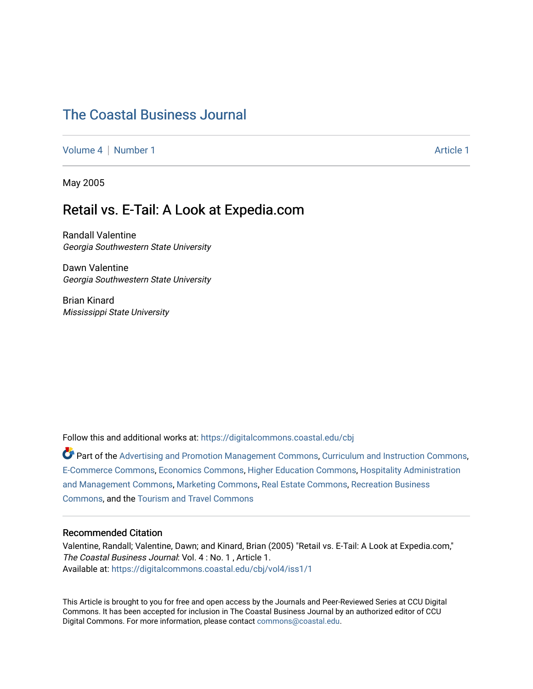# [The Coastal Business Journal](https://digitalcommons.coastal.edu/cbj)

[Volume 4](https://digitalcommons.coastal.edu/cbj/vol4) | [Number 1](https://digitalcommons.coastal.edu/cbj/vol4/iss1) Article 1

May 2005

# Retail vs. E-Tail: A Look at Expedia.com

Randall Valentine Georgia Southwestern State University

Dawn Valentine Georgia Southwestern State University

Brian Kinard Mississippi State University

Follow this and additional works at: [https://digitalcommons.coastal.edu/cbj](https://digitalcommons.coastal.edu/cbj?utm_source=digitalcommons.coastal.edu%2Fcbj%2Fvol4%2Fiss1%2F1&utm_medium=PDF&utm_campaign=PDFCoverPages) 

Part of the [Advertising and Promotion Management Commons,](http://network.bepress.com/hgg/discipline/626?utm_source=digitalcommons.coastal.edu%2Fcbj%2Fvol4%2Fiss1%2F1&utm_medium=PDF&utm_campaign=PDFCoverPages) [Curriculum and Instruction Commons,](http://network.bepress.com/hgg/discipline/786?utm_source=digitalcommons.coastal.edu%2Fcbj%2Fvol4%2Fiss1%2F1&utm_medium=PDF&utm_campaign=PDFCoverPages) [E-Commerce Commons,](http://network.bepress.com/hgg/discipline/624?utm_source=digitalcommons.coastal.edu%2Fcbj%2Fvol4%2Fiss1%2F1&utm_medium=PDF&utm_campaign=PDFCoverPages) [Economics Commons](http://network.bepress.com/hgg/discipline/340?utm_source=digitalcommons.coastal.edu%2Fcbj%2Fvol4%2Fiss1%2F1&utm_medium=PDF&utm_campaign=PDFCoverPages), [Higher Education Commons](http://network.bepress.com/hgg/discipline/1245?utm_source=digitalcommons.coastal.edu%2Fcbj%2Fvol4%2Fiss1%2F1&utm_medium=PDF&utm_campaign=PDFCoverPages), [Hospitality Administration](http://network.bepress.com/hgg/discipline/632?utm_source=digitalcommons.coastal.edu%2Fcbj%2Fvol4%2Fiss1%2F1&utm_medium=PDF&utm_campaign=PDFCoverPages) [and Management Commons,](http://network.bepress.com/hgg/discipline/632?utm_source=digitalcommons.coastal.edu%2Fcbj%2Fvol4%2Fiss1%2F1&utm_medium=PDF&utm_campaign=PDFCoverPages) [Marketing Commons](http://network.bepress.com/hgg/discipline/638?utm_source=digitalcommons.coastal.edu%2Fcbj%2Fvol4%2Fiss1%2F1&utm_medium=PDF&utm_campaign=PDFCoverPages), [Real Estate Commons](http://network.bepress.com/hgg/discipline/641?utm_source=digitalcommons.coastal.edu%2Fcbj%2Fvol4%2Fiss1%2F1&utm_medium=PDF&utm_campaign=PDFCoverPages), [Recreation Business](http://network.bepress.com/hgg/discipline/1083?utm_source=digitalcommons.coastal.edu%2Fcbj%2Fvol4%2Fiss1%2F1&utm_medium=PDF&utm_campaign=PDFCoverPages) [Commons](http://network.bepress.com/hgg/discipline/1083?utm_source=digitalcommons.coastal.edu%2Fcbj%2Fvol4%2Fiss1%2F1&utm_medium=PDF&utm_campaign=PDFCoverPages), and the [Tourism and Travel Commons](http://network.bepress.com/hgg/discipline/1082?utm_source=digitalcommons.coastal.edu%2Fcbj%2Fvol4%2Fiss1%2F1&utm_medium=PDF&utm_campaign=PDFCoverPages)

# Recommended Citation

Valentine, Randall; Valentine, Dawn; and Kinard, Brian (2005) "Retail vs. E-Tail: A Look at Expedia.com," The Coastal Business Journal: Vol. 4: No. 1, Article 1. Available at: [https://digitalcommons.coastal.edu/cbj/vol4/iss1/1](https://digitalcommons.coastal.edu/cbj/vol4/iss1/1?utm_source=digitalcommons.coastal.edu%2Fcbj%2Fvol4%2Fiss1%2F1&utm_medium=PDF&utm_campaign=PDFCoverPages)

This Article is brought to you for free and open access by the Journals and Peer-Reviewed Series at CCU Digital Commons. It has been accepted for inclusion in The Coastal Business Journal by an authorized editor of CCU Digital Commons. For more information, please contact [commons@coastal.edu](mailto:commons@coastal.edu).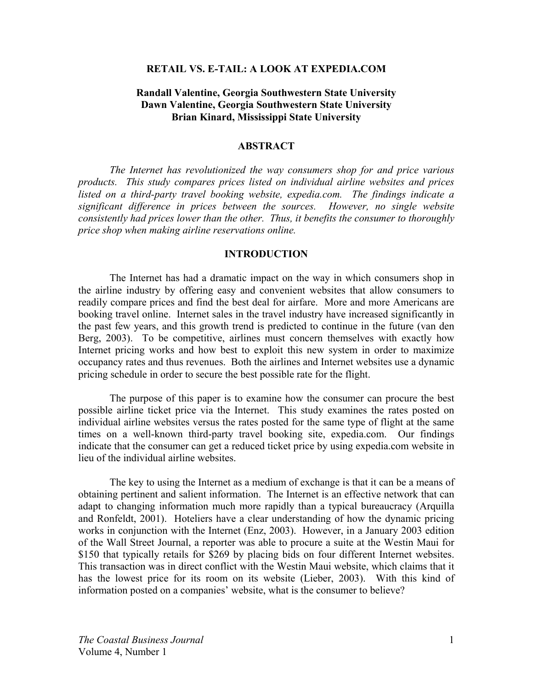### **RETAIL VS. E-TAIL: A LOOK AT EXPEDIA.COM**

# **Randall Valentine, Georgia Southwestern State University Dawn Valentine, Georgia Southwestern State University Brian Kinard, Mississippi State University**

#### **ABSTRACT**

*The Internet has revolutionized the way consumers shop for and price various products. This study compares prices listed on individual airline websites and prices listed on a third-party travel booking website, expedia.com. The findings indicate a significant difference in prices between the sources. However, no single website consistently had prices lower than the other. Thus, it benefits the consumer to thoroughly price shop when making airline reservations online.* 

## **INTRODUCTION**

The Internet has had a dramatic impact on the way in which consumers shop in the airline industry by offering easy and convenient websites that allow consumers to readily compare prices and find the best deal for airfare. More and more Americans are booking travel online. Internet sales in the travel industry have increased significantly in the past few years, and this growth trend is predicted to continue in the future (van den Berg, 2003). To be competitive, airlines must concern themselves with exactly how Internet pricing works and how best to exploit this new system in order to maximize occupancy rates and thus revenues. Both the airlines and Internet websites use a dynamic pricing schedule in order to secure the best possible rate for the flight.

The purpose of this paper is to examine how the consumer can procure the best possible airline ticket price via the Internet. This study examines the rates posted on individual airline websites versus the rates posted for the same type of flight at the same times on a well-known third-party travel booking site, expedia.com. Our findings indicate that the consumer can get a reduced ticket price by using expedia.com website in lieu of the individual airline websites.

The key to using the Internet as a medium of exchange is that it can be a means of obtaining pertinent and salient information. The Internet is an effective network that can adapt to changing information much more rapidly than a typical bureaucracy (Arquilla and Ronfeldt, 2001). Hoteliers have a clear understanding of how the dynamic pricing works in conjunction with the Internet (Enz, 2003). However, in a January 2003 edition of the Wall Street Journal, a reporter was able to procure a suite at the Westin Maui for \$150 that typically retails for \$269 by placing bids on four different Internet websites. This transaction was in direct conflict with the Westin Maui website, which claims that it has the lowest price for its room on its website (Lieber, 2003). With this kind of information posted on a companies' website, what is the consumer to believe?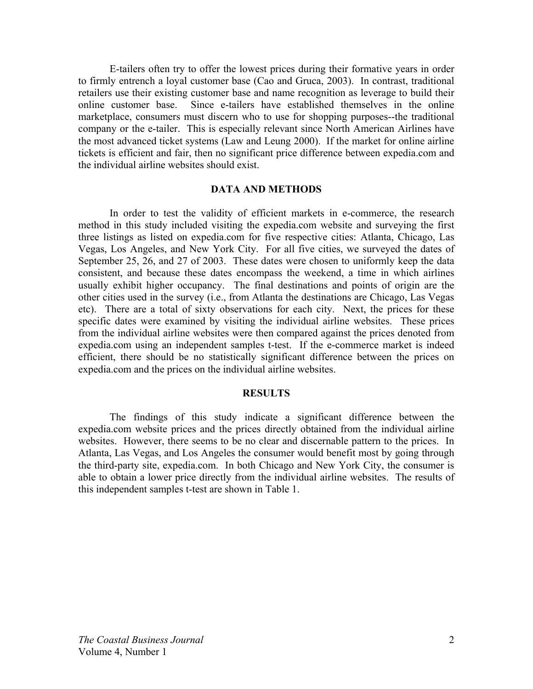E-tailers often try to offer the lowest prices during their formative years in order to firmly entrench a loyal customer base (Cao and Gruca, 2003). In contrast, traditional retailers use their existing customer base and name recognition as leverage to build their online customer base. Since e-tailers have established themselves in the online marketplace, consumers must discern who to use for shopping purposes--the traditional company or the e-tailer. This is especially relevant since North American Airlines have the most advanced ticket systems (Law and Leung 2000). If the market for online airline tickets is efficient and fair, then no significant price difference between expedia.com and the individual airline websites should exist.

## **DATA AND METHODS**

In order to test the validity of efficient markets in e-commerce, the research method in this study included visiting the expedia.com website and surveying the first three listings as listed on expedia.com for five respective cities: Atlanta, Chicago, Las Vegas, Los Angeles, and New York City. For all five cities, we surveyed the dates of September 25, 26, and 27 of 2003. These dates were chosen to uniformly keep the data consistent, and because these dates encompass the weekend, a time in which airlines usually exhibit higher occupancy. The final destinations and points of origin are the other cities used in the survey (i.e., from Atlanta the destinations are Chicago, Las Vegas etc). There are a total of sixty observations for each city. Next, the prices for these specific dates were examined by visiting the individual airline websites. These prices from the individual airline websites were then compared against the prices denoted from expedia.com using an independent samples t-test. If the e-commerce market is indeed efficient, there should be no statistically significant difference between the prices on expedia.com and the prices on the individual airline websites.

#### **RESULTS**

The findings of this study indicate a significant difference between the expedia.com website prices and the prices directly obtained from the individual airline websites. However, there seems to be no clear and discernable pattern to the prices. In Atlanta, Las Vegas, and Los Angeles the consumer would benefit most by going through the third-party site, expedia.com. In both Chicago and New York City, the consumer is able to obtain a lower price directly from the individual airline websites. The results of this independent samples t-test are shown in Table 1.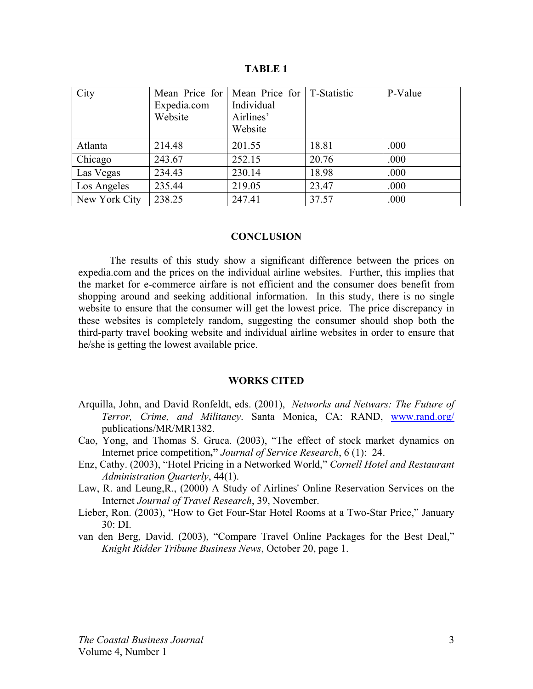| City          | Expedia.com<br>Website | Mean Price for   Mean Price for   T-Statistic<br>Individual<br>Airlines'<br>Website |       | P-Value |
|---------------|------------------------|-------------------------------------------------------------------------------------|-------|---------|
| Atlanta       | 214.48                 | 201.55                                                                              | 18.81 | .000    |
| Chicago       | 243.67                 | 252.15                                                                              | 20.76 | .000    |
| Las Vegas     | 234.43                 | 230.14                                                                              | 18.98 | .000    |
| Los Angeles   | 235.44                 | 219.05                                                                              | 23.47 | .000    |
| New York City | 238.25                 | 247.41                                                                              | 37.57 | .000    |

**TABLE 1**

#### **CONCLUSION**

The results of this study show a significant difference between the prices on expedia.com and the prices on the individual airline websites. Further, this implies that the market for e-commerce airfare is not efficient and the consumer does benefit from shopping around and seeking additional information. In this study, there is no single website to ensure that the consumer will get the lowest price. The price discrepancy in these websites is completely random, suggesting the consumer should shop both the third-party travel booking website and individual airline websites in order to ensure that he/she is getting the lowest available price.

#### **WORKS CITED**

- Arquilla, John, and David Ronfeldt, eds. (2001), *Networks and Netwars: The Future of Terror, Crime, and Militancy*. Santa Monica, CA: RAND, www.rand.org/ publications/MR/MR1382.
- Cao, Yong, and Thomas S. Gruca. (2003), "The effect of stock market dynamics on Internet price competition**,"** *Journal of Service Research*, 6 (1): 24.
- Enz, Cathy. (2003), "Hotel Pricing in a Networked World," *Cornell Hotel and Restaurant Administration Quarterly*, 44(1).
- Law, R. and Leung,R., (2000) A Study of Airlines' Online Reservation Services on the Internet *Journal of Travel Research*, 39, November.
- Lieber, Ron. (2003), "How to Get Four-Star Hotel Rooms at a Two-Star Price," January 30: DI.
- van den Berg, David. (2003), "Compare Travel Online Packages for the Best Deal," *Knight Ridder Tribune Business News*, October 20, page 1.